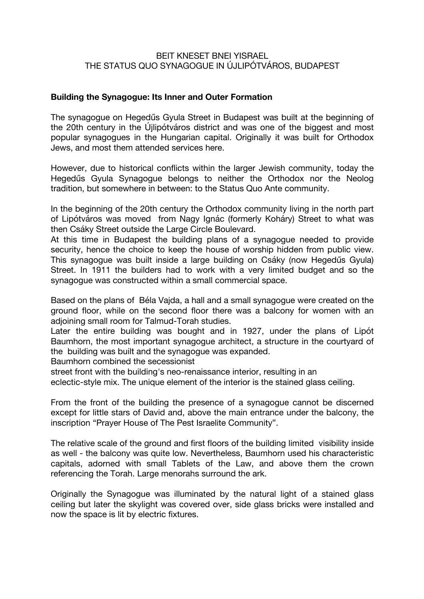### BEIT KNESET BNEI YISRAEL THE STATUS QUO SYNAGOGUE IN ÚJLIPÓTVÁROS, BUDAPEST

### **Building the Synagogue: Its Inner and Outer Formation**

The synagogue on Hegedűs Gyula Street in Budapest was built at the beginning of the 20th century in the Újlipótváros district and was one of the biggest and most popular synagogues in the Hungarian capital. Originally it was built for Orthodox Jews, and most them attended services here.

However, due to historical conflicts within the larger Jewish community, today the Hegedűs Gyula Synagogue belongs to neither the Orthodox nor the Neolog tradition, but somewhere in between: to the Status Quo Ante community.

In the beginning of the 20th century the Orthodox community living in the north part of Lipótváros was moved from Nagy Ignác (formerly Koháry) Street to what was then Csáky Street outside the Large Circle Boulevard.

At this time in Budapest the building plans of a synagogue needed to provide security, hence the choice to keep the house of worship hidden from public view. This synagogue was built inside a large building on Csáky (now Hegedűs Gyula) Street. In 1911 the builders had to work with a very limited budget and so the synagogue was constructed within a small commercial space.

Based on the plans of Béla Vajda, a hall and a small synagogue were created on the ground floor, while on the second floor there was a balcony for women with an adjoining small room for Talmud-Torah studies.

Later the entire building was bought and in 1927, under the plans of Lipót Baumhorn, the most important synagogue architect, a structure in the courtyard of the building was built and the synagogue was expanded.

Baumhorn combined the secessionist

street front with the building's neo-renaissance interior, resulting in an

eclectic-style mix. The unique element of the interior is the stained glass ceiling.

From the front of the building the presence of a synagogue cannot be discerned except for little stars of David and, above the main entrance under the balcony, the inscription "Prayer House of The Pest Israelite Community".

The relative scale of the ground and first floors of the building limited visibility inside as well - the balcony was quite low. Nevertheless, Baumhorn used his characteristic capitals, adorned with small Tablets of the Law, and above them the crown referencing the Torah. Large menorahs surround the ark.

Originally the Synagogue was illuminated by the natural light of a stained glass ceiling but later the skylight was covered over, side glass bricks were installed and now the space is lit by electric fixtures.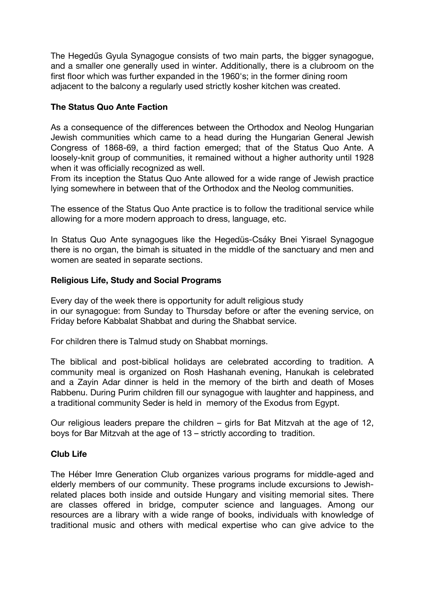The Hegedűs Gyula Synagogue consists of two main parts, the bigger synagogue, and a smaller one generally used in winter. Additionally, there is a clubroom on the first floor which was further expanded in the 1960's; in the former dining room adjacent to the balcony a regularly used strictly kosher kitchen was created.

# **The Status Quo Ante Faction**

As a consequence of the differences between the Orthodox and Neolog Hungarian Jewish communities which came to a head during the Hungarian General Jewish Congress of 1868-69, a third faction emerged; that of the Status Quo Ante. A loosely-knit group of communities, it remained without a higher authority until 1928 when it was officially recognized as well.

From its inception the Status Quo Ante allowed for a wide range of Jewish practice lying somewhere in between that of the Orthodox and the Neolog communities.

The essence of the Status Quo Ante practice is to follow the traditional service while allowing for a more modern approach to dress, language, etc.

In Status Quo Ante synagogues like the Hegedüs-Csáky Bnei Yisrael Synagogue there is no organ, the bimah is situated in the middle of the sanctuary and men and women are seated in separate sections.

### **Religious Life, Study and Social Programs**

Every day of the week there is opportunity for adult religious study in our synagogue: from Sunday to Thursday before or after the evening service, on Friday before Kabbalat Shabbat and during the Shabbat service.

For children there is Talmud study on Shabbat mornings.

The biblical and post-biblical holidays are celebrated according to tradition. A community meal is organized on Rosh Hashanah evening, Hanukah is celebrated and a Zayin Adar dinner is held in the memory of the birth and death of Moses Rabbenu. During Purim children fill our synagogue with laughter and happiness, and a traditional community Seder is held in memory of the Exodus from Egypt.

Our religious leaders prepare the children – girls for Bat Mitzvah at the age of 12, boys for Bar Mitzvah at the age of 13 – strictly according to tradition.

# **Club Life**

The Héber Imre Generation Club organizes various programs for middle-aged and elderly members of our community. These programs include excursions to Jewishrelated places both inside and outside Hungary and visiting memorial sites. There are classes offered in bridge, computer science and languages. Among our resources are a library with a wide range of books, individuals with knowledge of traditional music and others with medical expertise who can give advice to the